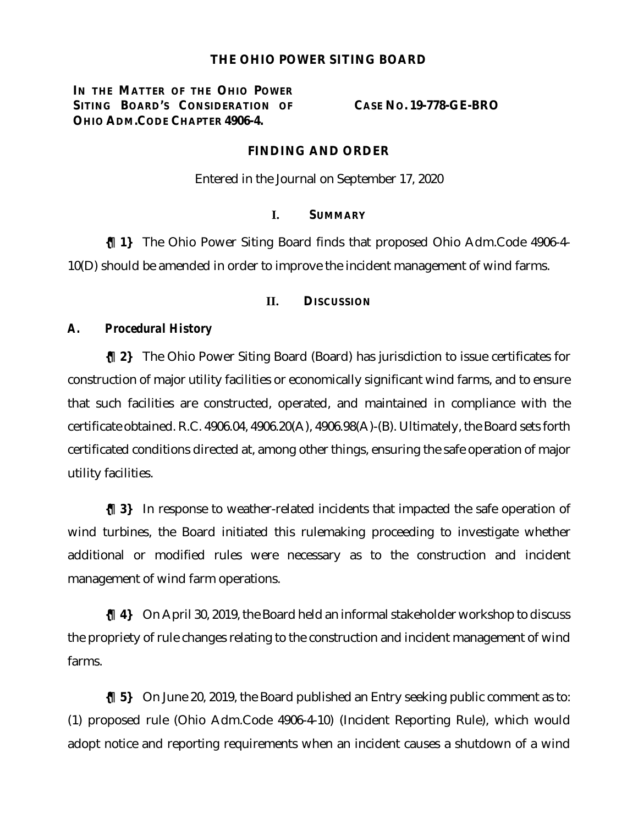## **THE OHIO POWER SITING BOARD**

**IN THE MATTER OF THE OHIO POWER SITING BOARD'S CONSIDERATION OF OHIO ADM.CODE CHAPTER 4906-4.**

**CASE NO. 19-778-GE-BRO**

## **FINDING AND ORDER**

Entered in the Journal on September 17, 2020

## **I. SUMMARY**

**{¶ 1}** The Ohio Power Siting Board finds that proposed Ohio Adm.Code 4906-4- 10(D) should be amended in order to improve the incident management of wind farms.

#### **II. DISCUSSION**

## *A. Procedural History*

**{¶ 2}** The Ohio Power Siting Board (Board) has jurisdiction to issue certificates for construction of major utility facilities or economically significant wind farms, and to ensure that such facilities are constructed, operated, and maintained in compliance with the certificate obtained. R.C. 4906.04, 4906.20(A), 4906.98(A)-(B). Ultimately, the Board sets forth certificated conditions directed at, among other things, ensuring the safe operation of major utility facilities.

**{¶ 3}** In response to weather-related incidents that impacted the safe operation of wind turbines, the Board initiated this rulemaking proceeding to investigate whether additional or modified rules were necessary as to the construction and incident management of wind farm operations.

**{¶ 4}** On April 30, 2019, the Board held an informal stakeholder workshop to discuss the propriety of rule changes relating to the construction and incident management of wind farms.

**{¶ 5}** On June 20, 2019, the Board published an Entry seeking public comment as to: (1) proposed rule (Ohio Adm.Code 4906-4-10) (Incident Reporting Rule), which would adopt notice and reporting requirements when an incident causes a shutdown of a wind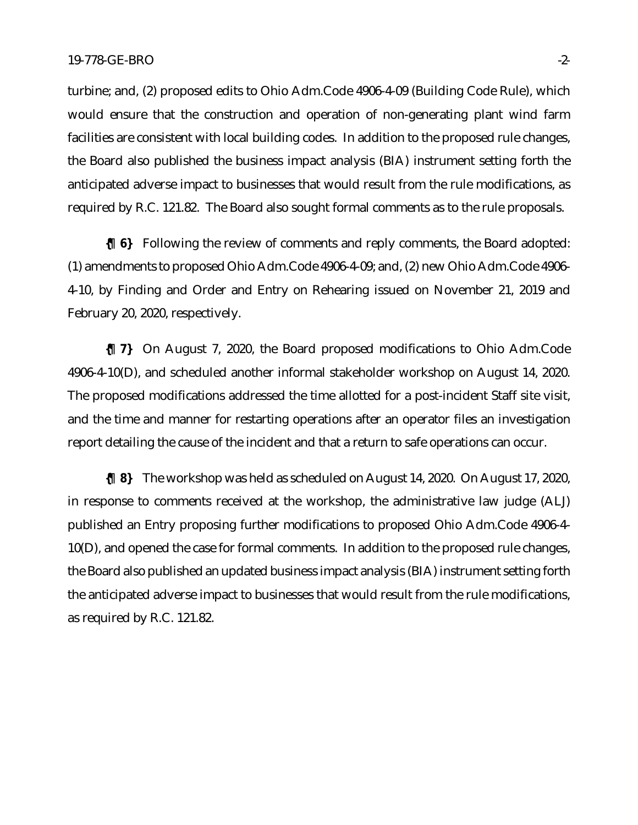turbine; and, (2) proposed edits to Ohio Adm.Code 4906-4-09 (Building Code Rule), which would ensure that the construction and operation of non-generating plant wind farm facilities are consistent with local building codes. In addition to the proposed rule changes, the Board also published the business impact analysis (BIA) instrument setting forth the anticipated adverse impact to businesses that would result from the rule modifications, as required by R.C. 121.82. The Board also sought formal comments as to the rule proposals.

**{¶ 6}** Following the review of comments and reply comments, the Board adopted: (1) amendments to proposed Ohio Adm.Code 4906-4-09; and, (2) new Ohio Adm.Code 4906- 4-10, by Finding and Order and Entry on Rehearing issued on November 21, 2019 and February 20, 2020, respectively.

**{¶ 7}** On August 7, 2020, the Board proposed modifications to Ohio Adm.Code 4906-4-10(D), and scheduled another informal stakeholder workshop on August 14, 2020. The proposed modifications addressed the time allotted for a post-incident Staff site visit, and the time and manner for restarting operations after an operator files an investigation report detailing the cause of the incident and that a return to safe operations can occur.

**{¶ 8}** The workshop was held as scheduled on August 14, 2020. On August 17, 2020, in response to comments received at the workshop, the administrative law judge (ALJ) published an Entry proposing further modifications to proposed Ohio Adm.Code 4906-4- 10(D), and opened the case for formal comments. In addition to the proposed rule changes, the Board also published an updated business impact analysis (BIA) instrument setting forth the anticipated adverse impact to businesses that would result from the rule modifications, as required by R.C. 121.82.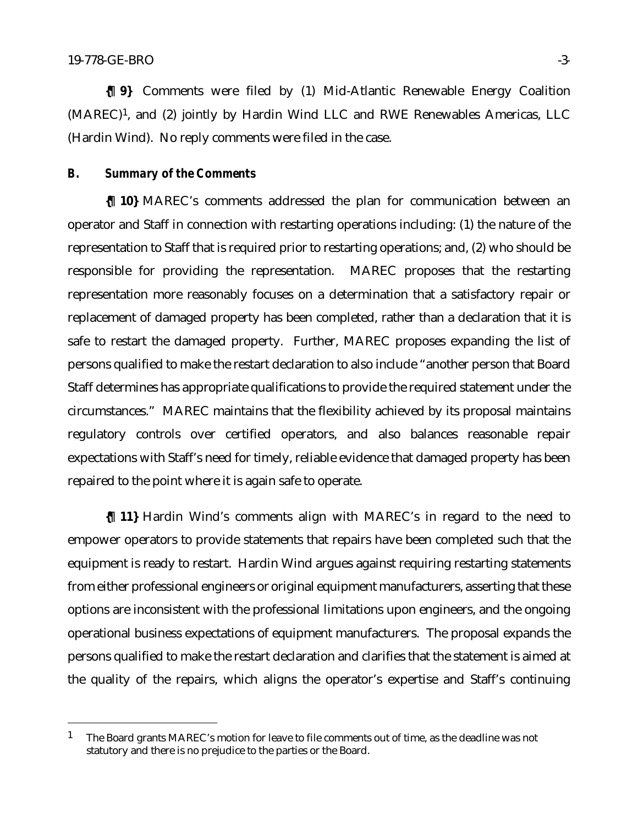**{¶ 9}** Comments were filed by (1) Mid-Atlantic Renewable Energy Coalition (MAREC)1, and (2) jointly by Hardin Wind LLC and RWE Renewables Americas, LLC (Hardin Wind). No reply comments were filed in the case.

# *B. Summary of the Comments*

**{¶ 10}** MAREC's comments addressed the plan for communication between an operator and Staff in connection with restarting operations including: (1) the nature of the representation to Staff that is required prior to restarting operations; and, (2) who should be responsible for providing the representation. MAREC proposes that the restarting representation more reasonably focuses on a determination that a satisfactory repair or replacement of damaged property has been completed, rather than a declaration that it is safe to restart the damaged property. Further, MAREC proposes expanding the list of persons qualified to make the restart declaration to also include "another person that Board Staff determines has appropriate qualifications to provide the required statement under the circumstances." MAREC maintains that the flexibility achieved by its proposal maintains regulatory controls over certified operators, and also balances reasonable repair expectations with Staff's need for timely, reliable evidence that damaged property has been repaired to the point where it is again safe to operate.

**{¶ 11}** Hardin Wind's comments align with MAREC's in regard to the need to empower operators to provide statements that repairs have been completed such that the equipment is ready to restart. Hardin Wind argues against requiring restarting statements from either professional engineers or original equipment manufacturers, asserting that these options are inconsistent with the professional limitations upon engineers, and the ongoing operational business expectations of equipment manufacturers. The proposal expands the persons qualified to make the restart declaration and clarifies that the statement is aimed at the quality of the repairs, which aligns the operator's expertise and Staff's continuing

<sup>&</sup>lt;sup>1</sup> The Board grants MAREC's motion for leave to file comments out of time, as the deadline was not statutory and there is no prejudice to the parties or the Board.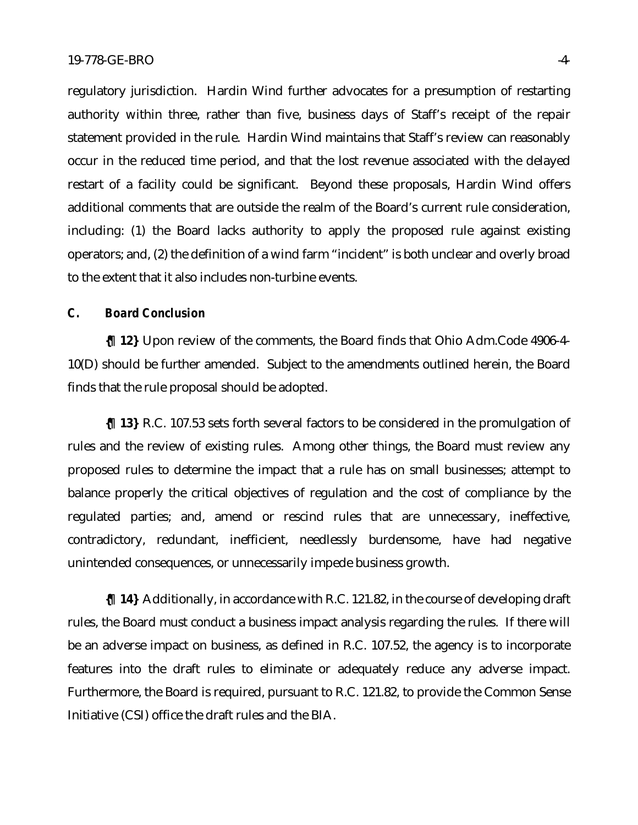regulatory jurisdiction. Hardin Wind further advocates for a presumption of restarting authority within three, rather than five, business days of Staff's receipt of the repair statement provided in the rule. Hardin Wind maintains that Staff's review can reasonably occur in the reduced time period, and that the lost revenue associated with the delayed restart of a facility could be significant. Beyond these proposals, Hardin Wind offers additional comments that are outside the realm of the Board's current rule consideration, including: (1) the Board lacks authority to apply the proposed rule against existing operators; and, (2) the definition of a wind farm "incident" is both unclear and overly broad to the extent that it also includes non-turbine events.

# *C. Board Conclusion*

**{¶ 12}** Upon review of the comments, the Board finds that Ohio Adm.Code 4906-4- 10(D) should be further amended. Subject to the amendments outlined herein, the Board finds that the rule proposal should be adopted.

**{¶ 13}** R.C. 107.53 sets forth several factors to be considered in the promulgation of rules and the review of existing rules. Among other things, the Board must review any proposed rules to determine the impact that a rule has on small businesses; attempt to balance properly the critical objectives of regulation and the cost of compliance by the regulated parties; and, amend or rescind rules that are unnecessary, ineffective, contradictory, redundant, inefficient, needlessly burdensome, have had negative unintended consequences, or unnecessarily impede business growth.

**{¶ 14}** Additionally, in accordance with R.C. 121.82, in the course of developing draft rules, the Board must conduct a business impact analysis regarding the rules. If there will be an adverse impact on business, as defined in R.C. 107.52, the agency is to incorporate features into the draft rules to eliminate or adequately reduce any adverse impact. Furthermore, the Board is required, pursuant to R.C. 121.82, to provide the Common Sense Initiative (CSI) office the draft rules and the BIA.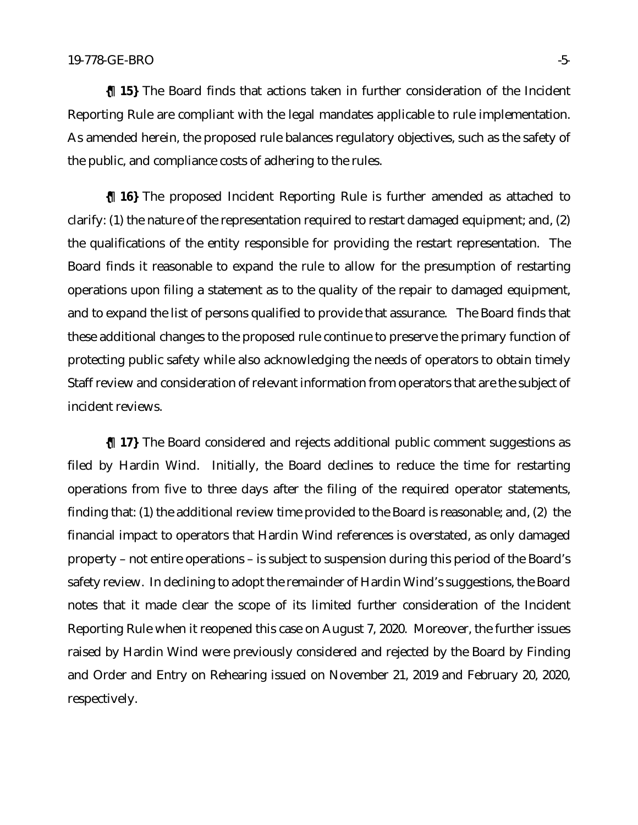**{¶ 15}** The Board finds that actions taken in further consideration of the Incident Reporting Rule are compliant with the legal mandates applicable to rule implementation. As amended herein, the proposed rule balances regulatory objectives, such as the safety of the public, and compliance costs of adhering to the rules.

**{¶ 16}** The proposed Incident Reporting Rule is further amended as attached to clarify: (1) the nature of the representation required to restart damaged equipment; and, (2) the qualifications of the entity responsible for providing the restart representation. The Board finds it reasonable to expand the rule to allow for the presumption of restarting operations upon filing a statement as to the quality of the repair to damaged equipment, and to expand the list of persons qualified to provide that assurance. The Board finds that these additional changes to the proposed rule continue to preserve the primary function of protecting public safety while also acknowledging the needs of operators to obtain timely Staff review and consideration of relevant information from operators that are the subject of incident reviews.

**{¶ 17}** The Board considered and rejects additional public comment suggestions as filed by Hardin Wind. Initially, the Board declines to reduce the time for restarting operations from five to three days after the filing of the required operator statements, finding that: (1) the additional review time provided to the Board is reasonable; and, (2) the financial impact to operators that Hardin Wind references is overstated, as only damaged property – not entire operations – is subject to suspension during this period of the Board's safety review. In declining to adopt the remainder of Hardin Wind's suggestions, the Board notes that it made clear the scope of its limited further consideration of the Incident Reporting Rule when it reopened this case on August 7, 2020. Moreover, the further issues raised by Hardin Wind were previously considered and rejected by the Board by Finding and Order and Entry on Rehearing issued on November 21, 2019 and February 20, 2020, respectively.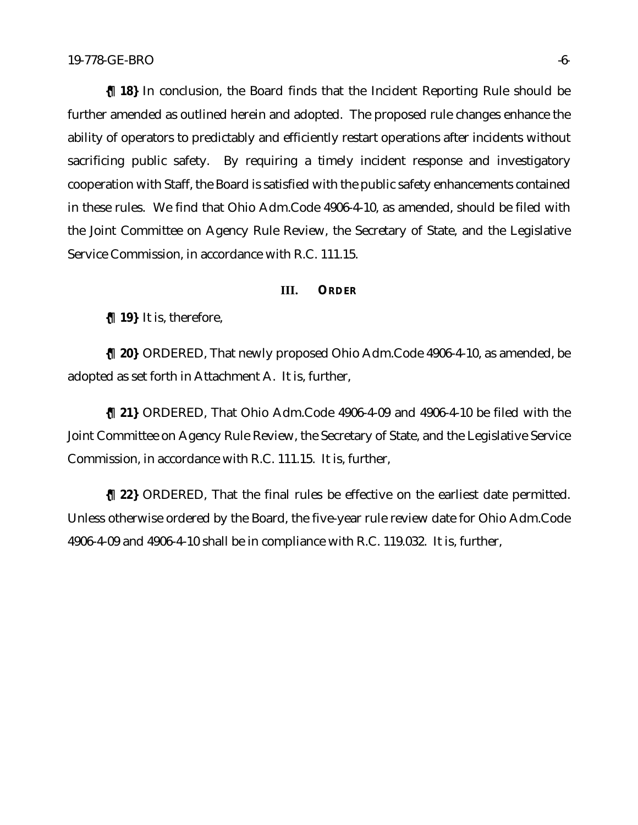**{¶ 18}** In conclusion, the Board finds that the Incident Reporting Rule should be further amended as outlined herein and adopted. The proposed rule changes enhance the ability of operators to predictably and efficiently restart operations after incidents without sacrificing public safety. By requiring a timely incident response and investigatory cooperation with Staff, the Board is satisfied with the public safety enhancements contained in these rules. We find that Ohio Adm.Code 4906-4-10, as amended, should be filed with the Joint Committee on Agency Rule Review, the Secretary of State, and the Legislative Service Commission, in accordance with R.C. 111.15.

#### **III. ORDER**

**{¶ 19}** It is, therefore,

**{¶ 20}** ORDERED, That newly proposed Ohio Adm.Code 4906-4-10, as amended, be adopted as set forth in Attachment A. It is, further,

**{¶ 21}** ORDERED, That Ohio Adm.Code 4906-4-09 and 4906-4-10 be filed with the Joint Committee on Agency Rule Review, the Secretary of State, and the Legislative Service Commission, in accordance with R.C. 111.15. It is, further,

**{¶ 22}** ORDERED, That the final rules be effective on the earliest date permitted. Unless otherwise ordered by the Board, the five-year rule review date for Ohio Adm.Code 4906-4-09 and 4906-4-10 shall be in compliance with R.C. 119.032. It is, further,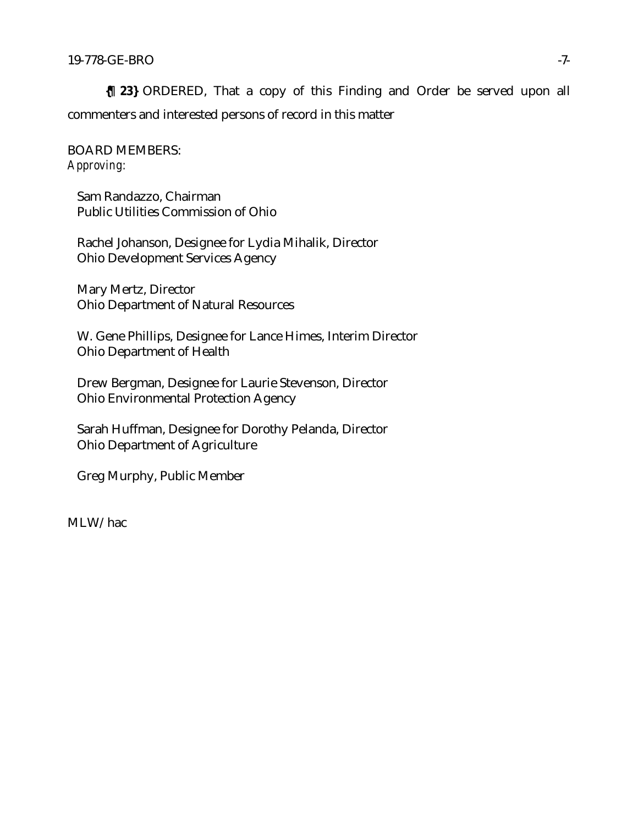**{¶ 23}** ORDERED, That a copy of this Finding and Order be served upon all commenters and interested persons of record in this matter

BOARD MEMBERS: *Approving:*

Sam Randazzo, Chairman Public Utilities Commission of Ohio

Rachel Johanson, Designee for Lydia Mihalik, Director Ohio Development Services Agency

Mary Mertz, Director Ohio Department of Natural Resources

W. Gene Phillips, Designee for Lance Himes, Interim Director Ohio Department of Health

Drew Bergman, Designee for Laurie Stevenson, Director Ohio Environmental Protection Agency

Sarah Huffman, Designee for Dorothy Pelanda, Director Ohio Department of Agriculture

Greg Murphy, Public Member

MLW/hac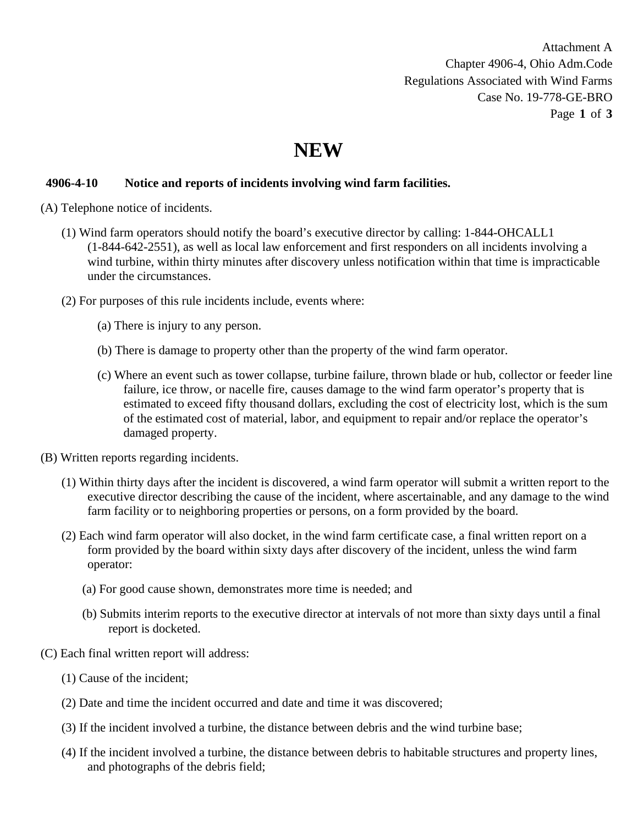Attachment A Chapter 4906-4, Ohio Adm.Code Regulations Associated with Wind Farms Case No. 19-778-GE-BRO Page **1** of **3**

# **NEW**

# **4906-4-10 Notice and reports of incidents involving wind farm facilities.**

- (A) Telephone notice of incidents.
	- (1) Wind farm operators should notify the board's executive director by calling: 1-844-OHCALL1 (1-844-642-2551), as well as local law enforcement and first responders on all incidents involving a wind turbine, within thirty minutes after discovery unless notification within that time is impracticable under the circumstances.
	- (2) For purposes of this rule incidents include, events where:
		- (a) There is injury to any person.
		- (b) There is damage to property other than the property of the wind farm operator.
		- (c) Where an event such as tower collapse, turbine failure, thrown blade or hub, collector or feeder line failure, ice throw, or nacelle fire, causes damage to the wind farm operator's property that is estimated to exceed fifty thousand dollars, excluding the cost of electricity lost, which is the sum of the estimated cost of material, labor, and equipment to repair and/or replace the operator's damaged property.
- (B) Written reports regarding incidents.
	- (1) Within thirty days after the incident is discovered, a wind farm operator will submit a written report to the executive director describing the cause of the incident, where ascertainable, and any damage to the wind farm facility or to neighboring properties or persons, on a form provided by the board.
	- (2) Each wind farm operator will also docket, in the wind farm certificate case, a final written report on a form provided by the board within sixty days after discovery of the incident, unless the wind farm operator:
		- (a) For good cause shown, demonstrates more time is needed; and
		- (b) Submits interim reports to the executive director at intervals of not more than sixty days until a final report is docketed.
- (C) Each final written report will address:
	- (1) Cause of the incident;
	- (2) Date and time the incident occurred and date and time it was discovered;
	- (3) If the incident involved a turbine, the distance between debris and the wind turbine base;
	- (4) If the incident involved a turbine, the distance between debris to habitable structures and property lines, and photographs of the debris field;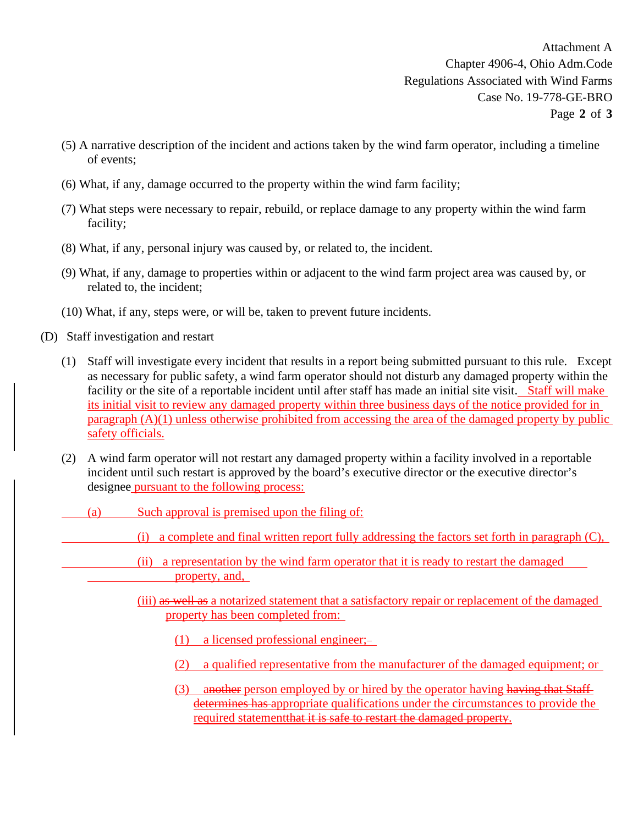Attachment A Chapter 4906-4, Ohio Adm.Code Regulations Associated with Wind Farms Case No. 19-778-GE-BRO Page **2** of **3**

- (5) A narrative description of the incident and actions taken by the wind farm operator, including a timeline of events;
- (6) What, if any, damage occurred to the property within the wind farm facility;
- (7) What steps were necessary to repair, rebuild, or replace damage to any property within the wind farm facility;
- (8) What, if any, personal injury was caused by, or related to, the incident.
- (9) What, if any, damage to properties within or adjacent to the wind farm project area was caused by, or related to, the incident;
- (10) What, if any, steps were, or will be, taken to prevent future incidents.
- (D) Staff investigation and restart
	- (1) Staff will investigate every incident that results in a report being submitted pursuant to this rule. Except as necessary for public safety, a wind farm operator should not disturb any damaged property within the facility or the site of a reportable incident until after staff has made an initial site visit. Staff will make its initial visit to review any damaged property within three business days of the notice provided for in paragraph (A)(1) unless otherwise prohibited from accessing the area of the damaged property by public safety officials.
	- (2) A wind farm operator will not restart any damaged property within a facility involved in a reportable incident until such restart is approved by the board's executive director or the executive director's designee pursuant to the following process:
		- (a) Such approval is premised upon the filing of:
			- (i) a complete and final written report fully addressing the factors set forth in paragraph (C),
			- (ii) a representation by the wind farm operator that it is ready to restart the damaged property, and,
			- (iii) as well as a notarized statement that a satisfactory repair or replacement of the damaged property has been completed from:
				- (1) a licensed professional engineer;
				- (2) a qualified representative from the manufacturer of the damaged equipment; or
				- (3) another person employed by or hired by the operator having having that Staff determines has appropriate qualifications under the circumstances to provide the required statementthat it is safe to restart the damaged property.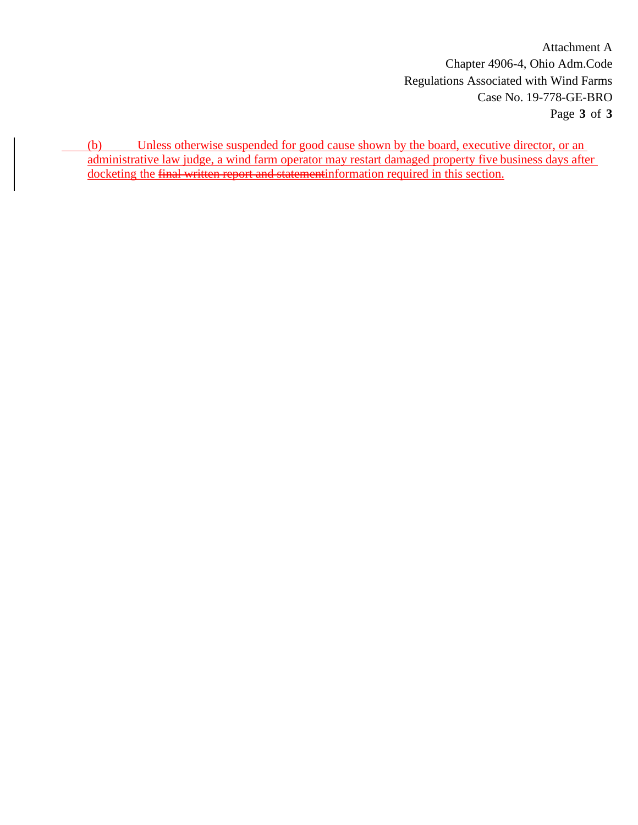Attachment A Chapter 4906-4, Ohio Adm.Code Regulations Associated with Wind Farms Case No. 19-778-GE-BRO Page **3** of **3**

(b) Unless otherwise suspended for good cause shown by the board, executive director, or an administrative law judge, a wind farm operator may restart damaged property five business days after docketing the final written report and statementinformation required in this section.